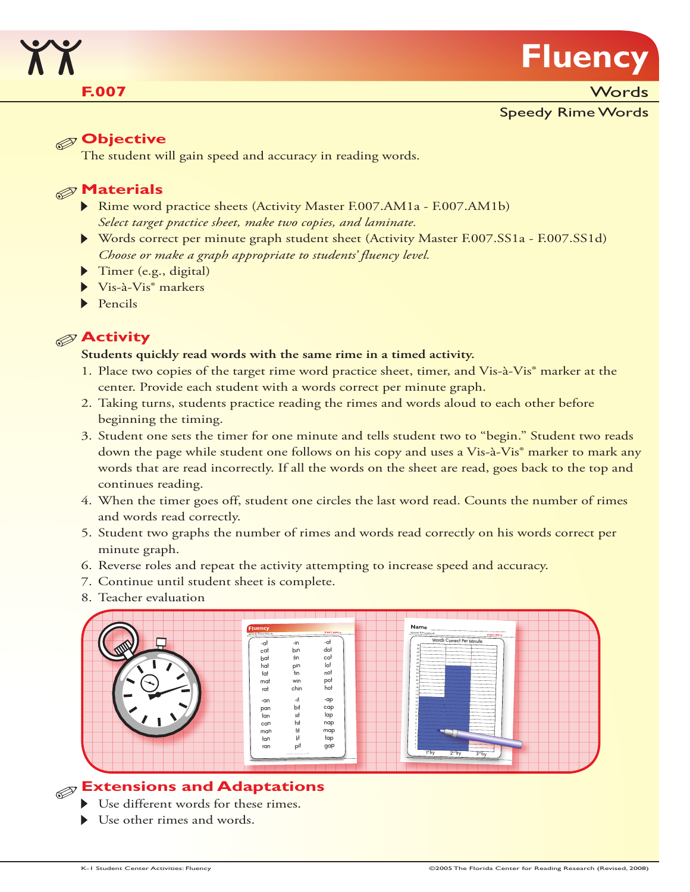

**F.007** Words

### Speedy Rime Words

## **Objective**

The student will gain speed and accuracy in reading words.

### **Materials**

- Rime word practice sheets (Activity Master F.007.AM1a F.007.AM1b) *Select target practice sheet, make two copies, and laminate.*
- Words correct per minute graph student sheet (Activity Master F.007.SS1a F.007.SS1d) *Choose or make a graph appropriate to students' fluency level.*
- Timer (e.g., digital)
- $\blacktriangleright$  Vis-à-Vis $^{\circ}$  markers
- $\blacktriangleright$  Pencils

## **Activity**

#### **Students quickly read words with the same rime in a timed activity.**

- 1. Place two copies of the target rime word practice sheet, timer, and Vis-à-Vis® marker at the center. Provide each student with a words correct per minute graph.
- 2. Taking turns, students practice reading the rimes and words aloud to each other before beginning the timing.
- 3. Student one sets the timer for one minute and tells student two to "begin." Student two reads down the page while student one follows on his copy and uses a Vis-à-Vis<sup>®</sup> marker to mark any words that are read incorrectly. If all the words on the sheet are read, goes back to the top and continues reading.
- 4. When the timer goes off, student one circles the last word read. Counts the number of rimes and words read correctly.
- 5. Student two graphs the number of rimes and words read correctly on his words correct per minute graph.
- 6. Reverse roles and repeat the activity attempting to increase speed and accuracy.
- 7. Continue until student sheet is complete.
- 8. Teacher evaluation



## **Extensions and Adaptations**

- Use different words for these rimes.
- Use other rimes and words.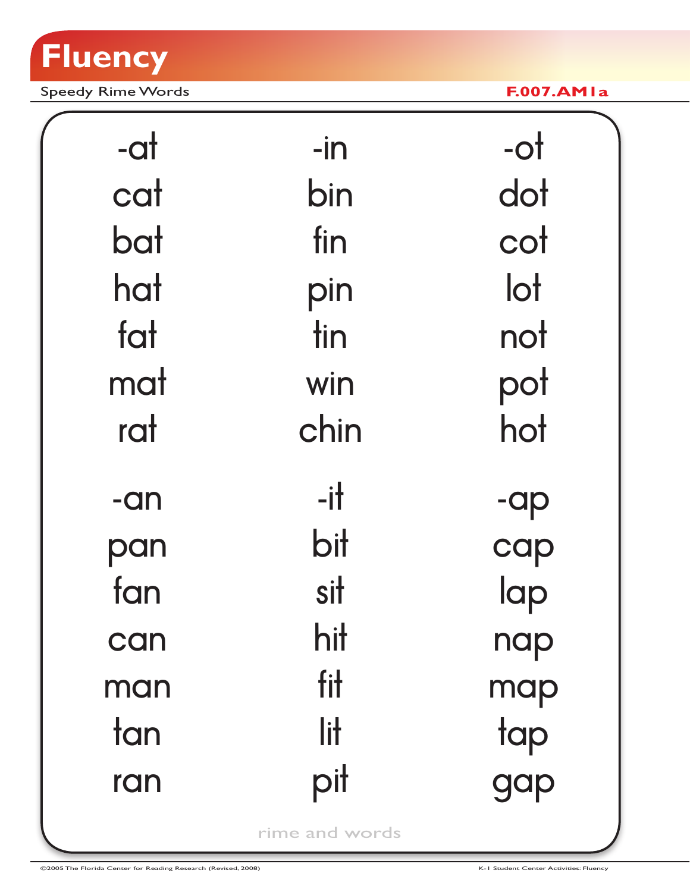

Speedy Rime Words **F.007.AM1a**

| -at   | $-$ in         | $-ot$        |
|-------|----------------|--------------|
| cat   | bin            | dot          |
| bat   | fin            | cot          |
| hat   | pin            | $\mathsf{I}$ |
| fat   | tin            | not          |
| mat   | win            | pot          |
| rat   | chin           | hot          |
| $-an$ | $-$ it         | -ap          |
| pan   | bit            | cap          |
| fan   | sit            | lap          |
| can   | hit            | nap          |
| man   | fit            | map          |
| tan   | lit            | tap          |
| ran   | pit            | gap          |
|       | rime and words |              |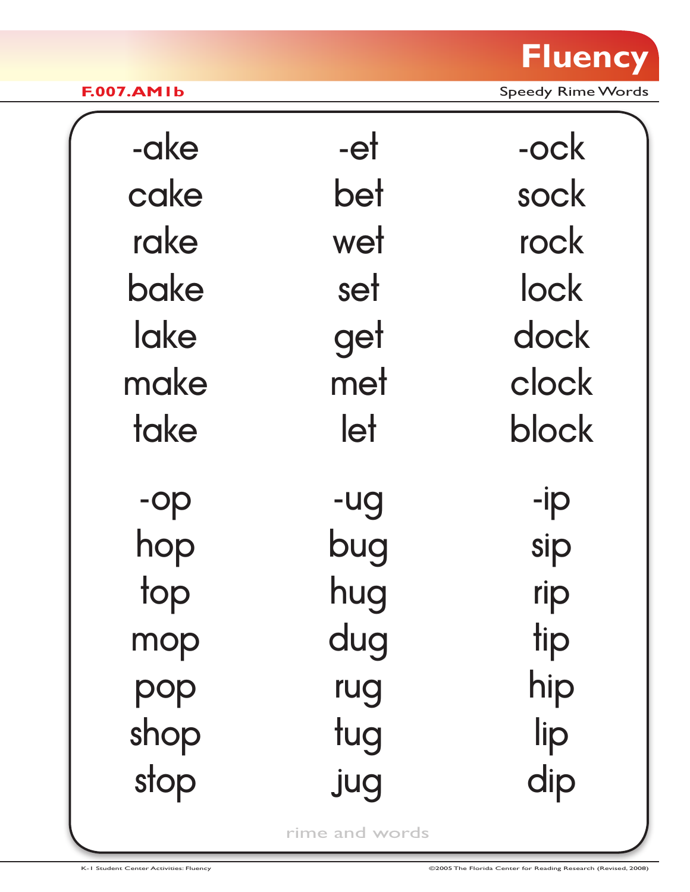

**F.007.AM1b** Speedy Rime Words

| -ake | -et | -ock  |
|------|-----|-------|
| cake | bet | sock  |
| rake | wet | rock  |
| bake | set | lock  |
| lake | get | dock  |
| make | met | clock |
| take | let | block |
| -op  | -ug | -ip   |
| hop  | bug | sip   |
| top  | hug | rip   |
| mop  | dug | tip   |
| pop  | rug | hip   |
| shop | tug | lip   |
| stop | jug | dip   |

rime and words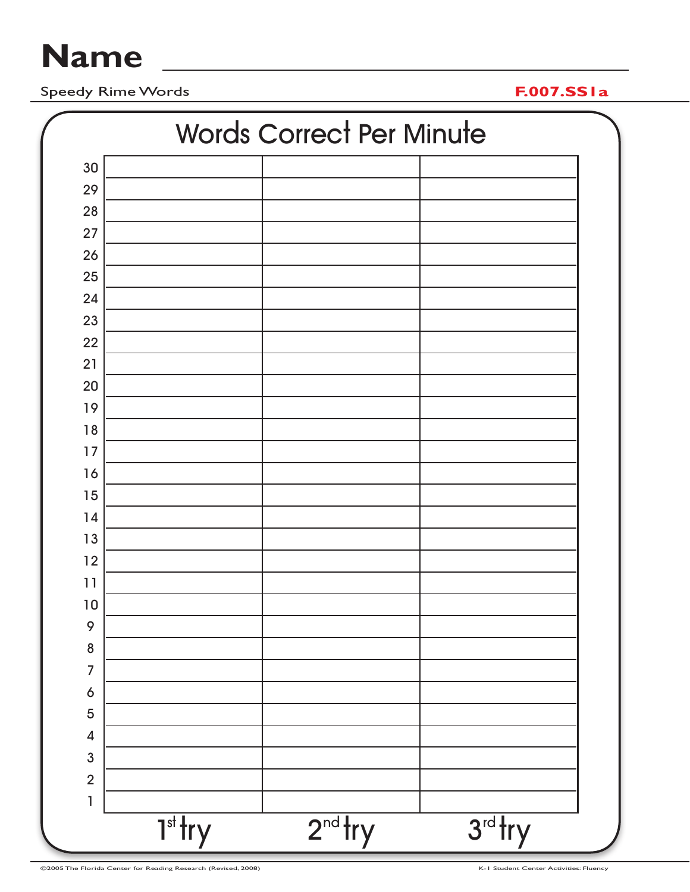# **Name**

Speedy Rime Words **F.007.SS1a**

| <b>Words Correct Per Minute</b> |           |           |           |
|---------------------------------|-----------|-----------|-----------|
| 30                              |           |           |           |
| 29                              |           |           |           |
| 28                              |           |           |           |
| 27                              |           |           |           |
| 26                              |           |           |           |
| 25                              |           |           |           |
| 24                              |           |           |           |
| 23                              |           |           |           |
| 22                              |           |           |           |
| 21                              |           |           |           |
| 20                              |           |           |           |
| 19                              |           |           |           |
| 18                              |           |           |           |
| 17                              |           |           |           |
| 16                              |           |           |           |
| 15                              |           |           |           |
| 14                              |           |           |           |
| 13                              |           |           |           |
| 12                              |           |           |           |
| 11                              |           |           |           |
| 10                              |           |           |           |
| 9                               |           |           |           |
| 8                               |           |           |           |
| $\overline{7}$                  |           |           |           |
| $\ddot{\mathbf{6}}$             |           |           |           |
| 5                               |           |           |           |
| $\overline{\mathcal{A}}$        |           |           |           |
| $\overline{3}$                  |           |           |           |
| $\overline{2}$                  |           |           |           |
| $\mathbf{1}$                    |           |           |           |
|                                 | $Tst$ try | $2nd$ try | $3rd$ try |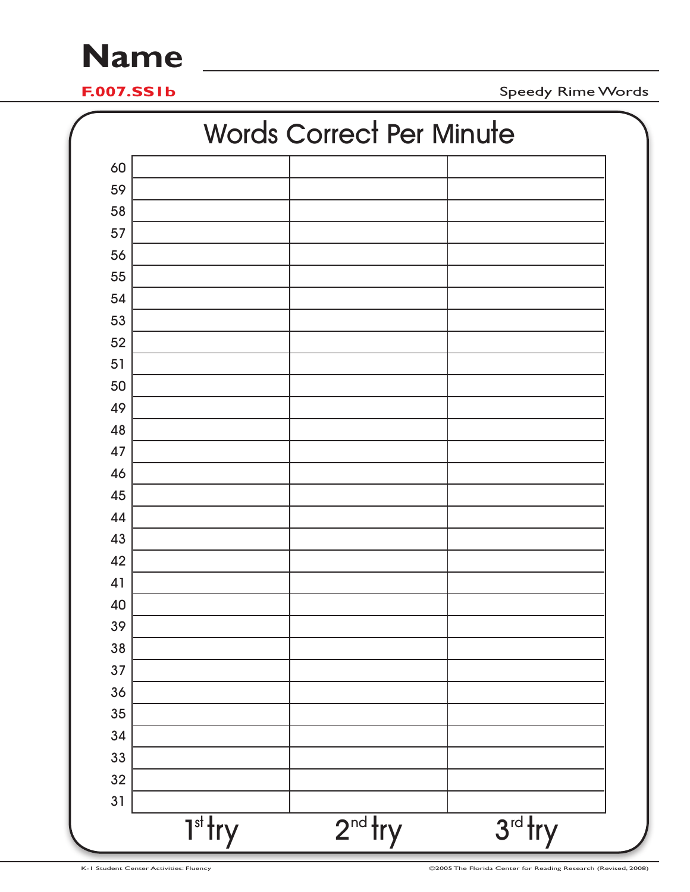## **Name**

**F.007.SS1b** Speedy Rime Words

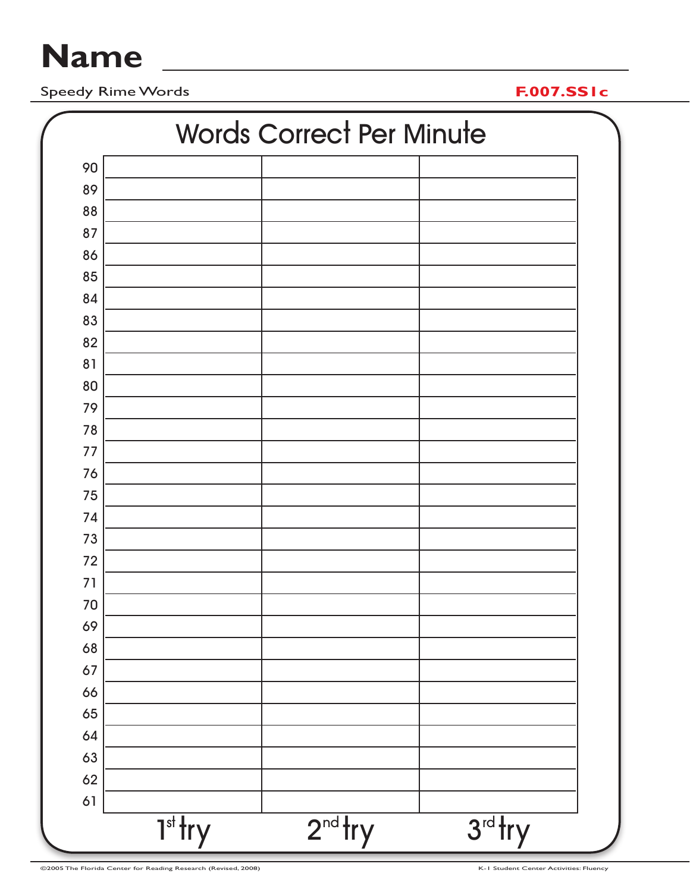# **Name**

Speedy Rime Words **F.007.SS1c**

| <b>Words Correct Per Minute</b> |           |           |
|---------------------------------|-----------|-----------|
| 90                              |           |           |
| 89                              |           |           |
| 88                              |           |           |
| 87                              |           |           |
| 86                              |           |           |
| 85                              |           |           |
| 84                              |           |           |
| 83                              |           |           |
| 82                              |           |           |
| 81                              |           |           |
| 80                              |           |           |
| 79                              |           |           |
| 78                              |           |           |
| 77                              |           |           |
| 76                              |           |           |
| 75                              |           |           |
| 74                              |           |           |
| 73                              |           |           |
| 72                              |           |           |
| 71                              |           |           |
| 70                              |           |           |
| 69                              |           |           |
| 68                              |           |           |
| 67                              |           |           |
| 66                              |           |           |
| 65                              |           |           |
| 64                              |           |           |
| 63                              |           |           |
| 62                              |           |           |
| 61                              |           |           |
| $Tst$ try                       | $2nd$ try | $3rd$ try |